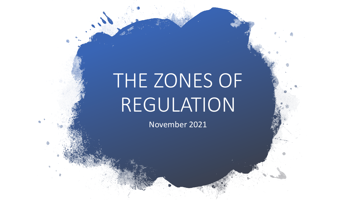# THE ZONES OF REGULATION

November 2021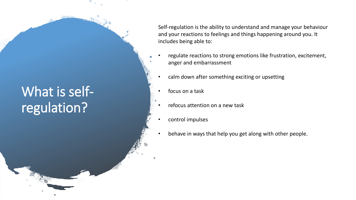### What is selfregulation?

Self-regulation is the ability to understand and manage your behaviour and your reactions to feelings and things happening around you. It includes being able to:

- regulate reactions to strong emotions like frustration, excitement, anger and embarrassment
	- calm down after something exciting or upsetting
	- focus on a task
	- refocus attention on a new task
	- control impulses
- behave in ways that help you get along with other people.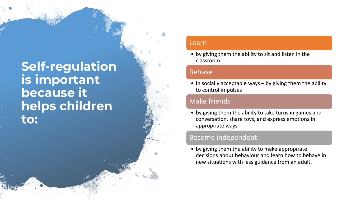### **Self -regulation is important because it helps children to:**

#### Learn

• by giving them the ability to sit and listen in the classroom

#### Behave

• In socially acceptable ways – by giving them the ability to control impulses

#### Make friends

• by giving them the ability to take turns in games and conversation, share toys, and express emotions in appropriate ways

#### Become independent

• by giving them the ability to make appropriate decisions about behaviour and learn how to behave in new situations with less guidance from an adult.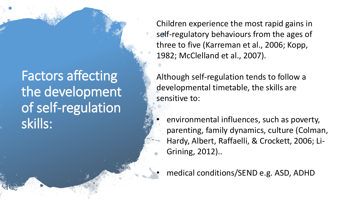## Factors affecting the development of self-regulation skills:

Children experience the most rapid gains in self-regulatory behaviours from the ages of three to five (Karreman et al., 2006; Kopp, 1982; McClelland et al., 2007).

Although self-regulation tends to follow a developmental timetable, the skills are sensitive to:

- environmental influences, such as poverty, parenting, family dynamics, culture (Colman, Hardy, Albert, Raffaelli, & Crockett, 2006; Li-Grining, 2012)..
- medical conditions/SEND e.g. ASD, ADHD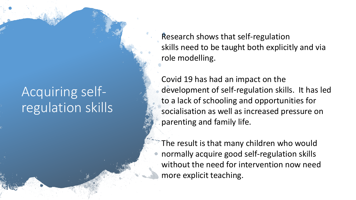## Acquiring selfregulation skills

Research shows that self-regulation skills need to be taught both explicitly and via role modelling.

Covid 19 has had an impact on the development of self-regulation skills. It has led to a lack of schooling and opportunities for socialisation as well as increased pressure on parenting and family life.

The result is that many children who would normally acquire good self-regulation skills without the need for intervention now need more explicit teaching.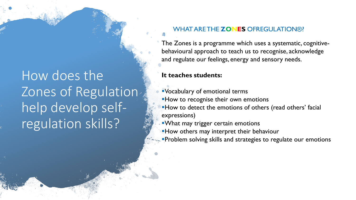# How does the Zones of Regulation help develop selfregulation skills?

#### **WHAT ARE THE ZONES OFREGULATION®?**

The Zones is a programme which uses a systematic, cognitivebehavioural approach to teach us to recognise, acknowledge and regulate our feelings, energy and sensory needs.

#### **It teaches students:**

▪Vocabulary of emotional terms **How to recognise their own emotions How to detect the emotions of others (read others' facial** expressions)

**What may trigger certain emotions** 

How others may interpret their behaviour

**Problem solving skills and strategies to regulate our emotions**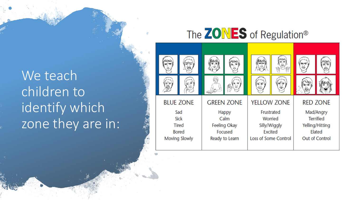# We teach children to identify which zone they are in:

### The **ZONES** of Regulation®

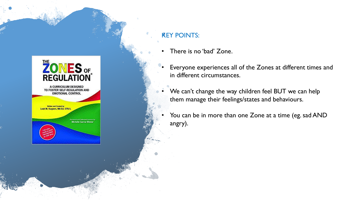

#### **KEY POINTS:**

- There is no 'bad' Zone.
- Everyone experiences all of the Zones at different times and in different circumstances.
- We can't change the way children feel BUT we can help them manage their feelings/states and behaviours.
- You can be in more than one Zone at a time (eg. sad AND angry).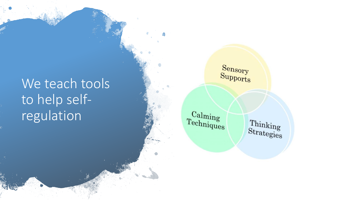## We teach tools to help selfregulation

 $_{\rm Supports}^{\rm Sensory}$ 

 $\frac{\text{Calming}}{\text{Techniques}}$ 

 $\frac{\text{Thinking}}{\text{Strategy}}$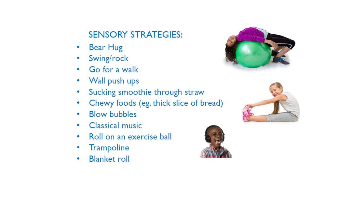### **SENSORY STRATEGIES:**

- Bear Hug
- Swing/rock  $\bullet$
- Go for a walk  $\bullet$
- Wall push ups ۰
- Sucking smoothie through straw ۰
- Chewy foods (eg. thick slice of bread) ۰
- **Blow bubbles** ۰
- Classical music ۰
- Roll on an exercise ball ۰
- Trampoline ۰
- **Blanket roll**  $\bullet$





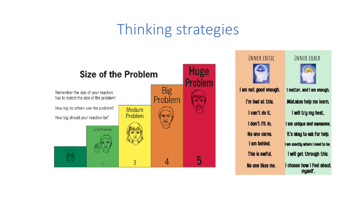# Thinking strategies



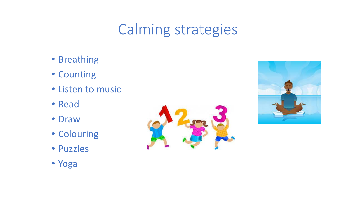# Calming strategies

- Breathing
- Counting
- Listen to music
- Read
- Draw
- Colouring
- Puzzles





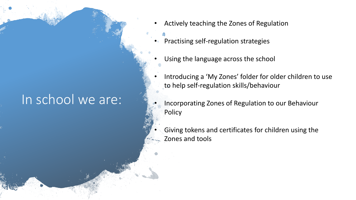### In school we are:

- Actively teaching the Zones of Regulation
- Practising self-regulation strategies
- Using the language across the school
- Introducing a 'My Zones' folder for older children to use to help self-regulation skills/behaviour
- Incorporating Zones of Regulation to our Behaviour **Policy**
- Giving tokens and certificates for children using the Zones and tools